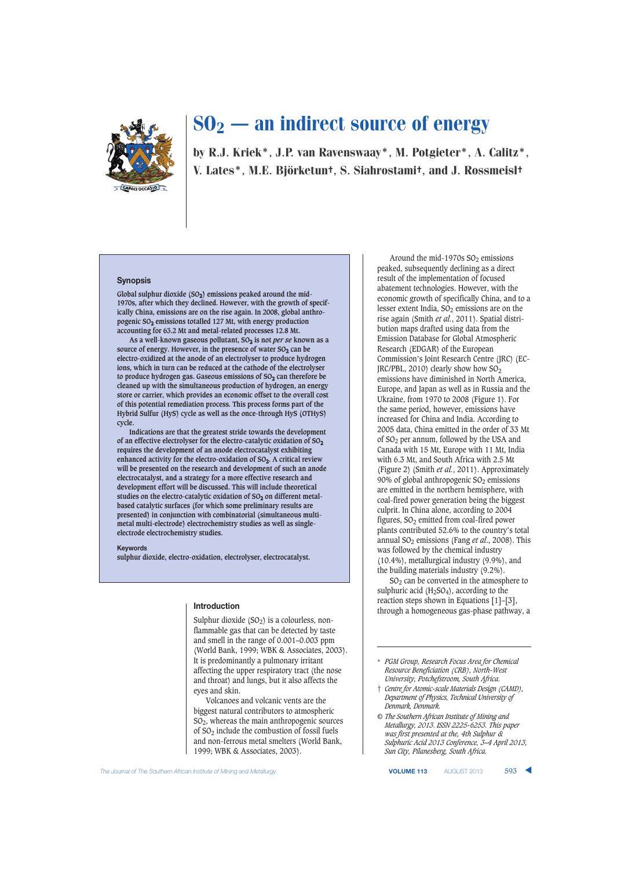

by R.J. Kriek\*, J.P. van Ravenswaay\*, M. Potgieter\*, A. Calitz\*, V. Lates\*, M.E. Björketun†, S. Siahrostami†, and J. Rossmeisl†

#### **Synopsis**

Global sulphur dioxide (SO<sub>2</sub>) emissions peaked around the mid-**1970s, after which they declined. However, with the growth of specifically China, emissions are on the rise again. In 2008, global anthropogenic SO2 emissions totalled 127 Mt, with energy production accounting for 63.2 Mt and metal-related processes 12.8 Mt.**

**As a well-known gaseous pollutant, SO2 is not** *per se* **known as a** source of energy. However, in the presence of water  $SO<sub>2</sub>$  can be **electro-oxidized at the anode of an electrolyser to produce hydrogen ions, which in turn can be reduced at the cathode of the electrolyser** to produce hydrogen gas. Gaseous emissions of SO<sub>2</sub> can therefore be **cleaned up with the simultaneous production of hydrogen, an energy store or carrier, which provides an economic offset to the overall cost of this potential remediation process. This process forms part of the Hybrid Sulfur (HyS) cycle as well as the once-through HyS (OTHyS) cycle.**

**Indications are that the greatest stride towards the development of an effective electrolyser for the electro-catalytic oxidation of SO2 requires the development of an anode electrocatalyst exhibiting enhanced activity for the electro-oxidation of SO2. A critical review will be presented on the research and development of such an anode electrocatalyst, and a strategy for a more effective research and development effort will be discussed. This will include theoretical** studies on the electro-catalytic oxidation of SO<sub>2</sub> on different metal**based catalytic surfaces (for which some preliminary results are presented) in conjunction with combinatorial (simultaneous multimetal multi-electrode) electrochemistry studies as well as singleelectrode electrochemistry studies.**

#### **Keywords**

**sulphur dioxide, electro-oxidation, electrolyser, electrocatalyst.**

### **Introduction**

Sulphur dioxide  $(SO<sub>2</sub>)$  is a colourless, nonflammable gas that can be detected by taste and smell in the range of 0.001–0.003 ppm (World Bank, 1999; WBK & Associates, 2003). It is predominantly a pulmonary irritant affecting the upper respiratory tract (the nose and throat) and lungs, but it also affects the eyes and skin.

Volcanoes and volcanic vents are the biggest natural contributors to atmospheric SO2, whereas the main anthropogenic sources of SO2 include the combustion of fossil fuels and non-ferrous metal smelters (World Bank, 1999; WBK & Associates, 2003).

peaked, subsequently declining as a direct result of the implementation of focused abatement technologies. However, with the economic growth of specifically China, and to a lesser extent India,  $SO<sub>2</sub>$  emissions are on the rise again (Smith *et al.*, 2011). Spatial distribution maps drafted using data from the Emission Database for Global Atmospheric Research (EDGAR) of the European Commission's Joint Research Centre (JRC) (EC-JRC/PBL, 2010) clearly show how SO2 emissions have diminished in North America, Europe, and Japan as well as in Russia and the Ukraine, from 1970 to 2008 (Figure 1). For the same period, however, emissions have increased for China and India. According to 2005 data, China emitted in the order of 33 Mt of SO2 per annum, followed by the USA and Canada with 15 Mt, Europe with 11 Mt, India with 6.3 Mt, and South Africa with 2.5 Mt (Figure 2) (Smith *et al.*, 2011). Approximately 90% of global anthropogenic  $SO<sub>2</sub>$  emissions are emitted in the northern hemisphere, with coal-fired power generation being the biggest culprit. In China alone, according to 2004 figures, SO2 emitted from coal-fired power plants contributed 52.6% to the country's total annual SO2 emissions (Fang *et al*., 2008). This was followed by the chemical industry (10.4%), metallurgical industry (9.9%), and the building materials industry (9.2%).

Around the mid-1970s  $SO_2$  emissions

SO2 can be converted in the atmosphere to sulphuric acid  $(H<sub>2</sub>SO<sub>4</sub>)$ , according to the reaction steps shown in Equations [1]–[3], through a homogeneous gas-phase pathway, a

**The Journal of The Southern African Institute of Mining and Metallurgy <b>VOLUME 113** AUGUST 2013 **593** 

<sup>\*</sup> *PGM Group, Research Focus Area for Chemical Resource Beneficiation (CRB), North-West University, Potchefstroom, South Africa.*

<sup>†</sup> *Centre for Atomic-scale Materials Design (CAMD), Department of Physics, Technical University of Denmark, Denmark.*

*<sup>©</sup> The Southern African Institute of Mining and Metallurgy, 2013. ISSN 2225-6253. This paper was first presented at the, 4th Sulphur & Sulphuric Acid 2013 Conference, 3–4 April 2013, Sun City, Pilanesberg, South Africa.*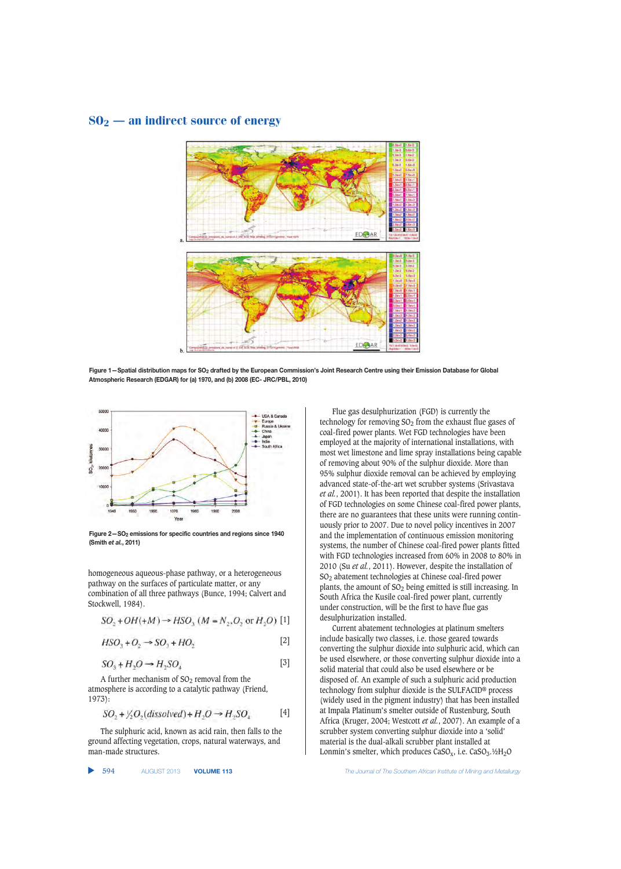

**Figure 1—Spatial distribution maps for SO2 drafted by the European Commission's Joint Research Centre using their Emission Database for Global Atmospheric Research (EDGAR) for (a) 1970, and (b) 2008 (EC- JRC/PBL, 2010)**



**Figure 2—SO2 emissions for specific countries and regions since 1940 (Smith** *et al.***, 2011)**

homogeneous aqueous-phase pathway, or a heterogeneous pathway on the surfaces of particulate matter, or any combination of all three pathways (Bunce, 1994; Calvert and Stockwell, 1984).

$$
SO_2 + OH(+M) \rightarrow HSO_3
$$
  $(M = N_2, O_2 \text{ or } H_2O)$  [1]

$$
HSO3 + O2 \rightarrow SO3 + HO2
$$
\n<sup>[2]</sup>

$$
SO_3 + H_2O \rightarrow H_2SO_4 \tag{3}
$$

A further mechanism of  $SO<sub>2</sub>$  removal from the atmosphere is according to a catalytic pathway (Friend, 1973):

$$
SO_2 + \frac{1}{2}O_2(dissolved) + H_2O \rightarrow H_2SO_4 \qquad [4]
$$

The sulphuric acid, known as acid rain, then falls to the ground affecting vegetation, crops, natural waterways, and man-made structures.

▲

Flue gas desulphurization (FGD) is currently the technology for removing  $SO<sub>2</sub>$  from the exhaust flue gases of coal-fired power plants. Wet FGD technologies have been employed at the majority of international installations, with most wet limestone and lime spray installations being capable of removing about 90% of the sulphur dioxide. More than 95% sulphur dioxide removal can be achieved by employing advanced state-of-the-art wet scrubber systems (Srivastava *et al.*, 2001). It has been reported that despite the installation of FGD technologies on some Chinese coal-fired power plants, there are no guarantees that these units were running continuously prior to 2007. Due to novel policy incentives in 2007 and the implementation of continuous emission monitoring systems, the number of Chinese coal-fired power plants fitted with FGD technologies increased from 60% in 2008 to 80% in 2010 (Su *et al.*, 2011). However, despite the installation of SO2 abatement technologies at Chinese coal-fired power plants, the amount of SO<sub>2</sub> being emitted is still increasing. In South Africa the Kusile coal-fired power plant, currently under construction, will be the first to have flue gas desulphurization installed.

Current abatement technologies at platinum smelters include basically two classes, i.e. those geared towards converting the sulphur dioxide into sulphuric acid, which can be used elsewhere, or those converting sulphur dioxide into a solid material that could also be used elsewhere or be disposed of. An example of such a sulphuric acid production technology from sulphur dioxide is the SULFACID® process (widely used in the pigment industry) that has been installed at Impala Platinum's smelter outside of Rustenburg, South Africa (Kruger, 2004; Westcott *et al.*, 2007). An example of a scrubber system converting sulphur dioxide into a 'solid' material is the dual-alkali scrubber plant installed at Lonmin's smelter, which produces  $CaSO_x$ , i.e.  $CaSO_3$ .<sup>1</sup>/<sub>2</sub>O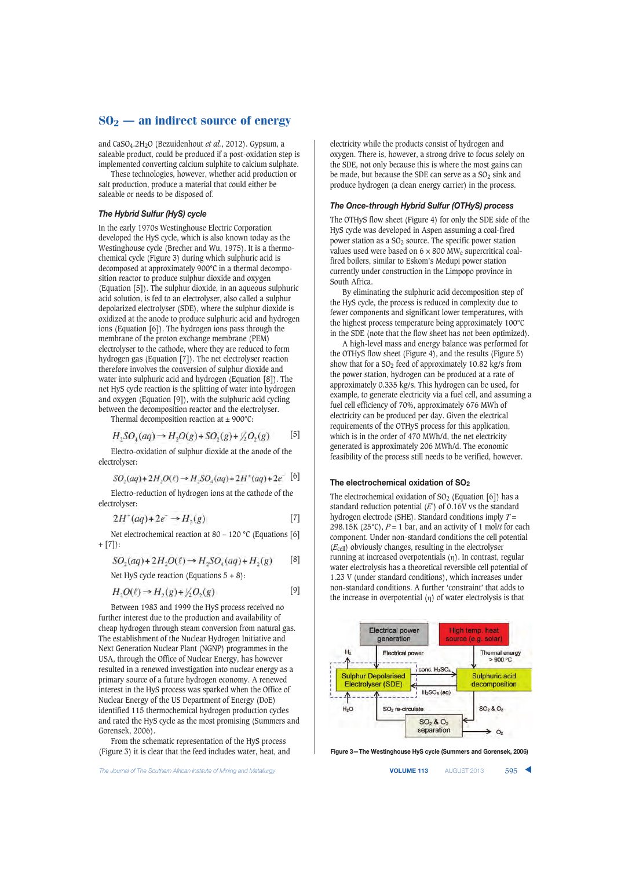and CaSO4.2H2O (Bezuidenhout *et al.*, 2012). Gypsum, a saleable product, could be produced if a post-oxidation step is implemented converting calcium sulphite to calcium sulphate.

These technologies, however, whether acid production or salt production, produce a material that could either be saleable or needs to be disposed of.

## *The Hybrid Sulfur (HyS) cycle*

In the early 1970s Westinghouse Electric Corporation developed the HyS cycle, which is also known today as the Westinghouse cycle (Brecher and Wu, 1975). It is a thermochemical cycle (Figure 3) during which sulphuric acid is decomposed at approximately 900°C in a thermal decomposition reactor to produce sulphur dioxide and oxygen (Equation [5]). The sulphur dioxide, in an aqueous sulphuric acid solution, is fed to an electrolyser, also called a sulphur depolarized electrolyser (SDE), where the sulphur dioxide is oxidized at the anode to produce sulphuric acid and hydrogen ions (Equation [6]). The hydrogen ions pass through the membrane of the proton exchange membrane (PEM) electrolyser to the cathode, where they are reduced to form hydrogen gas (Equation [7]). The net electrolyser reaction therefore involves the conversion of sulphur dioxide and water into sulphuric acid and hydrogen (Equation [8]). The net HyS cycle reaction is the splitting of water into hydrogen and oxygen (Equation [9]), with the sulphuric acid cycling between the decomposition reactor and the electrolyser.

Thermal decomposition reaction at  $\pm$  900°C:

$$
H_2SO_4(aq) \to H_2O(g) + SO_2(g) + \frac{1}{2}O_2(g) \tag{5}
$$

Electro-oxidation of sulphur dioxide at the anode of the electrolyser:

$$
SO_2(aq) + 2H_2O(\ell) \rightarrow H_2SO_4(aq) + 2H^+(aq) + 2e^-
$$
 [6]

Electro-reduction of hydrogen ions at the cathode of the electrolyser:

$$
2H^+(aq) + 2e^- \rightarrow H_2(g) \tag{7}
$$

Net electrochemical reaction at 80 – 120 °C (Equations [6] + [7]):

$$
SO_2(aq) + 2H_2O(\ell) \to H_2SO_4(aq) + H_2(g) \qquad [8]
$$

Net Hys cycle reaction (Equations 5 + 8):  

$$
H_2O(\ell) \rightarrow H_2(\ell) + \frac{1}{2}O_2(\ell)
$$
 [9]

$$
H_2O(\ell) \rightarrow H_2(g) + \frac{1}{2}O_2(g)
$$

Between 1983 and 1999 the HyS process received no further interest due to the production and availability of cheap hydrogen through steam conversion from natural gas. The establishment of the Nuclear Hydrogen Initiative and Next Generation Nuclear Plant (NGNP) programmes in the USA, through the Office of Nuclear Energy, has however resulted in a renewed investigation into nuclear energy as a primary source of a future hydrogen economy. A renewed interest in the HyS process was sparked when the Office of Nuclear Energy of the US Department of Energy (DoE) identified 115 thermochemical hydrogen production cycles and rated the HyS cycle as the most promising (Summers and Gorensek, 2006).

From the schematic representation of the HyS process (Figure 3) it is clear that the feed includes water, heat, and

**The Journal of The Southern African Institute of Mining and Metallurgy <b>Victor Collection Concernsive Concernsive VOLUME 113** AUGUST 2013 **595** 

electricity while the products consist of hydrogen and oxygen. There is, however, a strong drive to focus solely on the SDE, not only because this is where the most gains can be made, but because the SDE can serve as a  $SO<sub>2</sub>$  sink and produce hydrogen (a clean energy carrier) in the process.

## *The Once-through Hybrid Sulfur (OTHyS) process*

The OTHyS flow sheet (Figure 4) for only the SDE side of the HyS cycle was developed in Aspen assuming a coal-fired power station as a  $SO<sub>2</sub>$  source. The specific power station values used were based on  $6 \times 800$  MW<sub>e</sub> supercritical coalfired boilers, similar to Eskom's Medupi power station currently under construction in the Limpopo province in South Africa.

By eliminating the sulphuric acid decomposition step of the HyS cycle, the process is reduced in complexity due to fewer components and significant lower temperatures, with the highest process temperature being approximately 100°C in the SDE (note that the flow sheet has not been optimized).

A high-level mass and energy balance was performed for the OTHyS flow sheet (Figure 4), and the results (Figure 5) show that for a  $SO_2$  feed of approximately 10.82 kg/s from the power station, hydrogen can be produced at a rate of approximately 0.335 kg/s. This hydrogen can be used, for example, to generate electricity via a fuel cell, and assuming a fuel cell efficiency of 70%, approximately 676 MWh of electricity can be produced per day. Given the electrical requirements of the OTHyS process for this application, which is in the order of 470 MWh/d, the net electricity generated is approximately 206 MWh/d. The economic feasibility of the process still needs to be verified, however.

#### **The electrochemical oxidation of SO2**

The electrochemical oxidation of  $SO<sub>2</sub>$  (Equation [6]) has a standard reduction potential  $(E^{\circ})$  of 0.16V vs the standard hydrogen electrode (SHE). Standard conditions imply *T* = 298.15K (25 $^{\circ}$ C),  $P = 1$  bar, and an activity of 1 mol/ $\ell$  for each component. Under non-standard conditions the cell potential (*E*cell) obviously changes, resulting in the electrolyser running at increased overpotentials (η). In contrast, regular water electrolysis has a theoretical reversible cell potential of 1.23 V (under standard conditions), which increases under non-standard conditions. A further 'constraint' that adds to the increase in overpotential  $(\eta)$  of water electrolysis is that



**Figure 3—The Westinghouse HyS cycle (Summers and Gorensek, 2006)**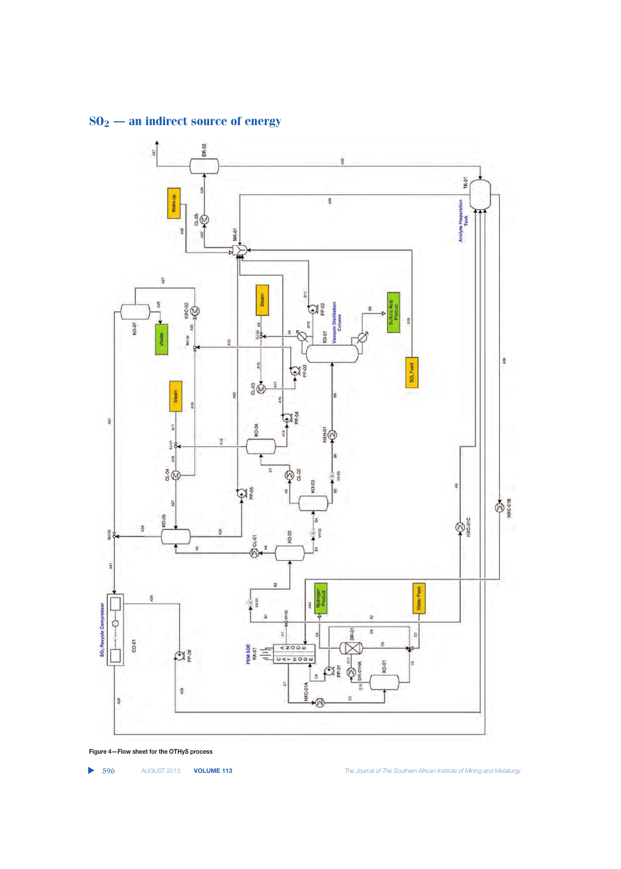

**Figure 4—Flow sheet for the OTHyS process**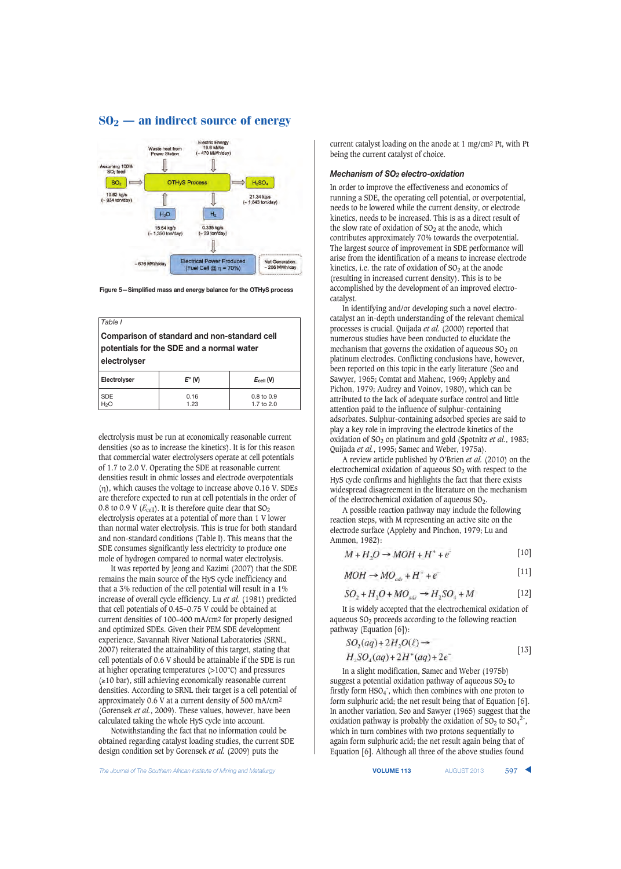

**Figure 5—Simplified mass and energy balance for the OTHyS process**

| Table I<br>Comparison of standard and non-standard cell<br>potentials for the SDE and a normal water<br>electrolyser |                 |                                       |
|----------------------------------------------------------------------------------------------------------------------|-----------------|---------------------------------------|
| Electrolyser                                                                                                         | $E^{\circ}$ (V) | $E_{cell}$ (V)                        |
| <b>SDF</b><br>$H_2O$                                                                                                 | 0.16<br>1.23    | $0.8 \text{ to } 0.9$<br>1.7 to $2.0$ |

electrolysis must be run at economically reasonable current densities (so as to increase the kinetics). It is for this reason that commercial water electrolysers operate at cell potentials of 1.7 to 2.0 V. Operating the SDE at reasonable current densities result in ohmic losses and electrode overpotentials (η), which causes the voltage to increase above 0.16 V. SDEs are therefore expected to run at cell potentials in the order of 0.8 to 0.9 V  $(E_{cell})$ . It is therefore quite clear that  $SO_2$ electrolysis operates at a potential of more than 1 V lower than normal water electrolysis. This is true for both standard and non-standard conditions (Table I). This means that the SDE consumes significantly less electricity to produce one mole of hydrogen compared to normal water electrolysis.

It was reported by Jeong and Kazimi (2007) that the SDE remains the main source of the HyS cycle inefficiency and that a 3% reduction of the cell potential will result in a 1% increase of overall cycle efficiency. Lu *et al.* (1981) predicted that cell potentials of 0.45–0.75 V could be obtained at current densities of 100–400 mA/cm2 for properly designed and optimized SDEs. Given their PEM SDE development experience, Savannah River National Laboratories (SRNL, 2007) reiterated the attainability of this target, stating that cell potentials of 0.6 V should be attainable if the SDE is run at higher operating temperatures (>100°C) and pressures (≥10 bar), still achieving economically reasonable current densities. According to SRNL their target is a cell potential of approximately 0.6 V at a current density of 500 mA/cm2 (Gorensek *et al.*, 2009). These values, however, have been calculated taking the whole HyS cycle into account.

Notwithstanding the fact that no information could be obtained regarding catalyst loading studies, the current SDE design condition set by Gorensek *et al.* (2009) puts the

current catalyst loading on the anode at 1 mg/cm2 Pt, with Pt being the current catalyst of choice.

### *Mechanism of SO2 electro-oxidation*

In order to improve the effectiveness and economics of running a SDE, the operating cell potential, or overpotential, needs to be lowered while the current density, or electrode kinetics, needs to be increased. This is as a direct result of the slow rate of oxidation of  $SO<sub>2</sub>$  at the anode, which contributes approximately 70% towards the overpotential. The largest source of improvement in SDE performance will arise from the identification of a means to increase electrode kinetics, i.e. the rate of oxidation of  $SO<sub>2</sub>$  at the anode (resulting in increased current density). This is to be accomplished by the development of an improved electrocatalyst.

In identifying and/or developing such a novel electrocatalyst an in-depth understanding of the relevant chemical processes is crucial. Quijada *et al.* (2000) reported that numerous studies have been conducted to elucidate the mechanism that governs the oxidation of aqueous  $SO<sub>2</sub>$  on platinum electrodes. Conflicting conclusions have, however, been reported on this topic in the early literature (Seo and Sawyer, 1965; Comtat and Mahenc, 1969; Appleby and Pichon, 1979; Audrey and Voinov, 1980), which can be attributed to the lack of adequate surface control and little attention paid to the influence of sulphur-containing adsorbates. Sulphur-containing adsorbed species are said to play a key role in improving the electrode kinetics of the oxidation of SO<sub>2</sub> on platinum and gold (Spotnitz *et al.*, 1983; Quijada *et al.*, 1995; Samec and Weber, 1975a).

A review article published by O'Brien *et al.* (2010) on the electrochemical oxidation of aqueous  $SO<sub>2</sub>$  with respect to the HyS cycle confirms and highlights the fact that there exists widespread disagreement in the literature on the mechanism of the electrochemical oxidation of aqueous SO2.

A possible reaction pathway may include the following reaction steps, with M representing an active site on the electrode surface (Appleby and Pinchon, 1979; Lu and Ammon, 1982):

$$
M + H_2O \to MOH + H^+ + e^-
$$
 [10]

$$
MOH \to MO_{ads} + H^+ + e^-
$$
 [11]

$$
SO_2 + H_2O + MO_{ads} \rightarrow H_2SO_4 + M \tag{12}
$$

It is widely accepted that the electrochemical oxidation of aqueous  $SO<sub>2</sub>$  proceeds according to the following reaction pathway (Equation [6]):

$$
SO2(aq) + 2H2O(l) \rightarrow
$$
  
H<sub>2</sub>SO<sub>2</sub>(aq) + 2H<sup>+</sup>(aq) + 2e<sup>-</sup> [13]

In a slight modification, Samec and Weber (1975b) suggest a potential oxidation pathway of aqueous  $SO<sub>2</sub>$  to firstly form HSO<sub>4</sub><sup>-</sup>, which then combines with one proton to form sulphuric acid; the net result being that of Equation [6]. In another variation, Seo and Sawyer (1965) suggest that the oxidation pathway is probably the oxidation of  $SO_2$  to  $SO_4^2$ <sup>-</sup>, which in turn combines with two protons sequentially to again form sulphuric acid; the net result again being that of Equation [6]. Although all three of the above studies found

The Journal of The Southern African Institute of Mining and Metallurgy **VOLUME 113** AUGUST 2013 597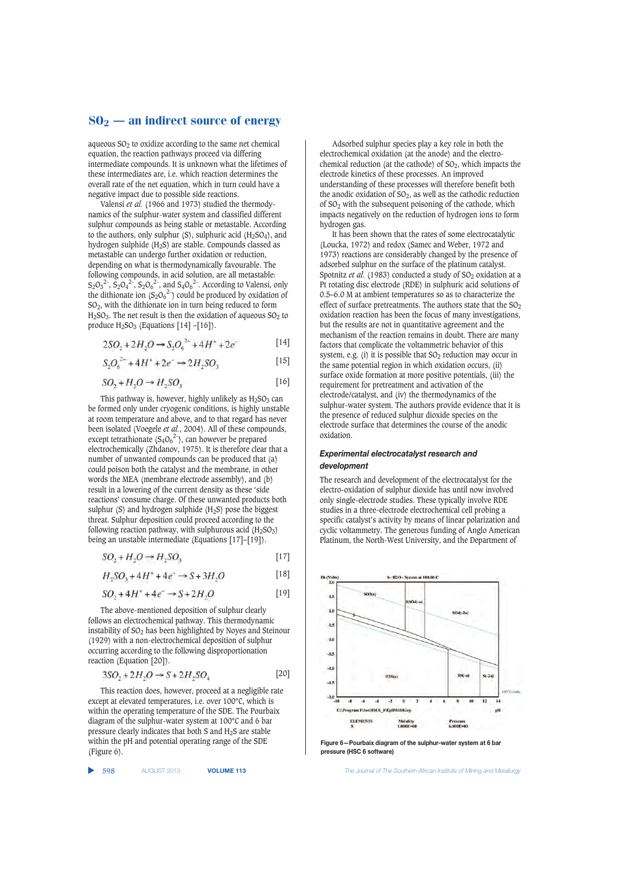aqueous  $SO<sub>2</sub>$  to oxidize according to the same net chemical equation, the reaction pathways proceed via differing intermediate compounds. It is unknown what the lifetimes of these intermediates are, i.e. which reaction determines the overall rate of the net equation, which in turn could have a negative impact due to possible side reactions.

Valensi *et al.* (1966 and 1973) studied the thermodynamics of the sulphur-water system and classified different sulphur compounds as being stable or metastable. According to the authors, only sulphur  $(S)$ , sulphuric acid  $(H<sub>2</sub>SO<sub>4</sub>)$ , and hydrogen sulphide (H2S) are stable. Compounds classed as metastable can undergo further oxidation or reduction, depending on what is thermodynamically favourable. The following compounds, in acid solution, are all metastable:  $S_2O_3^2$ ,  $S_2O_4^2$ ,  $S_2O_6^2$ , and  $S_4O_6^2$ . According to Valensi, only the dithionate ion  $(S_2O_6^{2-})$  could be produced by oxidation of  $SO<sub>2</sub>$ , with the dithionate ion in turn being reduced to form  $H<sub>2</sub>SO<sub>3</sub>$ . The net result is then the oxidation of aqueous  $SO<sub>2</sub>$  to produce  $H_2SO_3$  (Equations [14] –[16]).

$$
2SO_1 + 2H_2O \rightarrow S_2O_6^{2-} + 4H^* + 2e^-
$$
 [14]

$$
S_1O_6^{2-} + 4H^+ + 2e^- \rightarrow 2H_1SO_3 \tag{15}
$$

$$
SO_2 + H_2O \rightarrow H_2SO_3 \tag{16}
$$

This pathway is, however, highly unlikely as  $H_2SO_3$  can be formed only under cryogenic conditions, is highly unstable at room temperature and above, and to that regard has never been isolated (Voegele *et al.*, 2004). All of these compounds, except tetrathionate  $(S_4O_6^2)$ , can however be prepared electrochemically (Zhdanov, 1975). It is therefore clear that a number of unwanted compounds can be produced that (a) could poison both the catalyst and the membrane, in other words the MEA (membrane electrode assembly), and (b) result in a lowering of the current density as these 'side reactions' consume charge. Of these unwanted products both sulphur (S) and hydrogen sulphide  $(H<sub>2</sub>S)$  pose the biggest threat. Sulphur deposition could proceed according to the following reaction pathway, with sulphurous acid  $(H_2SO_3)$ being an unstable intermediate (Equations [17]–[19]).

$$
SO_2 + H_2O \to H_2SO_3 \tag{17}
$$

$$
H_2SO_3 + 4H^+ + 4e^- \to S + 3H_2O \tag{18}
$$

$$
SO_2 + 4H^* + 4e^- \to S + 2H_2O \tag{19}
$$

The above-mentioned deposition of sulphur clearly follows an electrochemical pathway. This thermodynamic instability of  $SO<sub>2</sub>$  has been highlighted by Noyes and Steinour (1929) with a non-electrochemical deposition of sulphur occurring according to the following disproportionation reaction (Equation [20]).

$$
3SO_2 + 2H_2O \to S + 2H_2SO_4 \tag{20}
$$

This reaction does, however, proceed at a negligible rate except at elevated temperatures, i.e. over 100°C, which is within the operating temperature of the SDE. The Pourbaix diagram of the sulphur-water system at 100°C and 6 bar pressure clearly indicates that both S and H2S are stable within the pH and potential operating range of the SDE (Figure 6).

▲

Adsorbed sulphur species play a key role in both the electrochemical oxidation (at the anode) and the electrochemical reduction (at the cathode) of  $SO_2$ , which impacts the electrode kinetics of these processes. An improved understanding of these processes will therefore benefit both the anodic oxidation of  $SO_2$ , as well as the cathodic reduction of SO2 with the subsequent poisoning of the cathode, which impacts negatively on the reduction of hydrogen ions to form hydrogen gas.

It has been shown that the rates of some electrocatalytic (Loucka, 1972) and redox (Samec and Weber, 1972 and 1973) reactions are considerably changed by the presence of adsorbed sulphur on the surface of the platinum catalyst. Spotnitz et al. (1983) conducted a study of SO<sub>2</sub> oxidation at a Pt rotating disc electrode (RDE) in sulphuric acid solutions of 0.5–6.0 M at ambient temperatures so as to characterize the effect of surface pretreatments. The authors state that the  $SO<sub>2</sub>$ oxidation reaction has been the focus of many investigations, but the results are not in quantitative agreement and the mechanism of the reaction remains in doubt. There are many factors that complicate the voltammetric behavior of this system, e.g. (i) it is possible that  $SO<sub>2</sub>$  reduction may occur in the same potential region in which oxidation occurs, (ii) surface oxide formation at more positive potentials, (iii) the requirement for pretreatment and activation of the electrode/catalyst, and (iv) the thermodynamics of the sulphur-water system. The authors provide evidence that it is the presence of reduced sulphur dioxide species on the electrode surface that determines the course of the anodic oxidation.

## *Experimental electrocatalyst research and development*

The research and development of the electrocatalyst for the electro-oxidation of sulphur dioxide has until now involved only single-electrode studies. These typically involve RDE studies in a three-electrode electrochemical cell probing a specific catalyst's activity by means of linear polarization and cyclic voltammetry. The generous funding of Anglo American Platinum, the North-West University, and the Department of



**Figure 6—Pourbaix diagram of the sulphur-water system at 6 bar pressure (HSC 6 software)**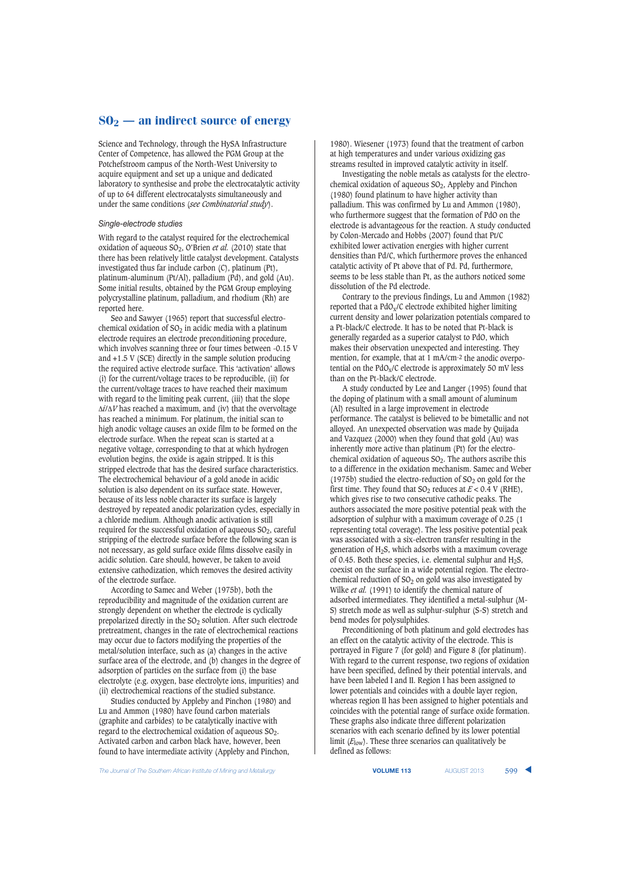Science and Technology, through the HySA Infrastructure Center of Competence, has allowed the PGM Group at the Potchefstroom campus of the North-West University to acquire equipment and set up a unique and dedicated laboratory to synthesise and probe the electrocatalytic activity of up to 64 different electrocatalysts simultaneously and under the same conditions (*see Combinatorial study*).

#### *Single-electrode studies*

With regard to the catalyst required for the electrochemical oxidation of aqueous SO2, O'Brien *et al.* (2010) state that there has been relatively little catalyst development. Catalysts investigated thus far include carbon (C), platinum (Pt), platinum-aluminum (Pt/Al), palladium (Pd), and gold (Au). Some initial results, obtained by the PGM Group employing polycrystalline platinum, palladium, and rhodium (Rh) are reported here.

Seo and Sawyer (1965) report that successful electrochemical oxidation of  $SO_2$  in acidic media with a platinum electrode requires an electrode preconditioning procedure, which involves scanning three or four times between -0.15 V and +1.5 V (SCE) directly in the sample solution producing the required active electrode surface. This 'activation' allows (i) for the current/voltage traces to be reproducible, (ii) for the current/voltage traces to have reached their maximum with regard to the limiting peak current, (iii) that the slope Δ*i*/Δ*V* has reached a maximum, and (iv) that the overvoltage has reached a minimum. For platinum, the initial scan to high anodic voltage causes an oxide film to be formed on the electrode surface. When the repeat scan is started at a negative voltage, corresponding to that at which hydrogen evolution begins, the oxide is again stripped. It is this stripped electrode that has the desired surface characteristics. The electrochemical behaviour of a gold anode in acidic solution is also dependent on its surface state. However, because of its less noble character its surface is largely destroyed by repeated anodic polarization cycles, especially in a chloride medium. Although anodic activation is still required for the successful oxidation of aqueous  $SO_2$ , careful stripping of the electrode surface before the following scan is not necessary, as gold surface oxide films dissolve easily in acidic solution. Care should, however, be taken to avoid extensive cathodization, which removes the desired activity of the electrode surface.

According to Samec and Weber (1975b), both the reproducibility and magnitude of the oxidation current are strongly dependent on whether the electrode is cyclically prepolarized directly in the  $SO<sub>2</sub>$  solution. After such electrode pretreatment, changes in the rate of electrochemical reactions may occur due to factors modifying the properties of the metal/solution interface, such as (a) changes in the active surface area of the electrode, and (b) changes in the degree of adsorption of particles on the surface from (i) the base electrolyte (e.g. oxygen, base electrolyte ions, impurities) and (ii) electrochemical reactions of the studied substance.

Studies conducted by Appleby and Pinchon (1980) and Lu and Ammon (1980) have found carbon materials (graphite and carbides) to be catalytically inactive with regard to the electrochemical oxidation of aqueous SO<sub>2</sub>. Activated carbon and carbon black have, however, been found to have intermediate activity (Appleby and Pinchon,

1980). Wiesener (1973) found that the treatment of carbon at high temperatures and under various oxidizing gas streams resulted in improved catalytic activity in itself.

Investigating the noble metals as catalysts for the electrochemical oxidation of aqueous  $SO<sub>2</sub>$ , Appleby and Pinchon (1980) found platinum to have higher activity than palladium. This was confirmed by Lu and Ammon (1980), who furthermore suggest that the formation of PdO on the electrode is advantageous for the reaction. A study conducted by Colon-Mercado and Hobbs (2007) found that Pt/C exhibited lower activation energies with higher current densities than Pd/C, which furthermore proves the enhanced catalytic activity of Pt above that of Pd. Pd, furthermore, seems to be less stable than Pt, as the authors noticed some dissolution of the Pd electrode.

Contrary to the previous findings, Lu and Ammon (1982) reported that a PdOx/C electrode exhibited higher limiting current density and lower polarization potentials compared to a Pt-black/C electrode. It has to be noted that Pt-black is generally regarded as a superior catalyst to PdO, which makes their observation unexpected and interesting. They mention, for example, that at 1 mA/cm-2 the anodic overpotential on the  $PdO_x/C$  electrode is approximately 50 mV less than on the Pt-black/C electrode.

A study conducted by Lee and Langer (1995) found that the doping of platinum with a small amount of aluminum (Al) resulted in a large improvement in electrode performance. The catalyst is believed to be bimetallic and not alloyed. An unexpected observation was made by Quijada and Vazquez (2000) when they found that gold (Au) was inherently more active than platinum (Pt) for the electrochemical oxidation of aqueous  $SO<sub>2</sub>$ . The authors ascribe this to a difference in the oxidation mechanism. Samec and Weber (1975b) studied the electro-reduction of  $SO<sub>2</sub>$  on gold for the first time. They found that  $SO_2$  reduces at  $E < 0.4$  V (RHE), which gives rise to two consecutive cathodic peaks. The authors associated the more positive potential peak with the adsorption of sulphur with a maximum coverage of 0.25 (1) representing total coverage). The less positive potential peak was associated with a six-electron transfer resulting in the generation of H2S, which adsorbs with a maximum coverage of 0.45. Both these species, i.e. elemental sulphur and  $H_2S$ , coexist on the surface in a wide potential region. The electrochemical reduction of  $SO<sub>2</sub>$  on gold was also investigated by Wilke *et al.* (1991) to identify the chemical nature of adsorbed intermediates. They identified a metal-sulphur (M-S) stretch mode as well as sulphur-sulphur (S-S) stretch and bend modes for polysulphides.

Preconditioning of both platinum and gold electrodes has an effect on the catalytic activity of the electrode. This is portrayed in Figure 7 (for gold) and Figure 8 (for platinum). With regard to the current response, two regions of oxidation have been specified, defined by their potential intervals, and have been labeled I and II. Region I has been assigned to lower potentials and coincides with a double layer region, whereas region II has been assigned to higher potentials and coincides with the potential range of surface oxide formation. These graphs also indicate three different polarization scenarios with each scenario defined by its lower potential limit (*E*low). These three scenarios can qualitatively be defined as follows: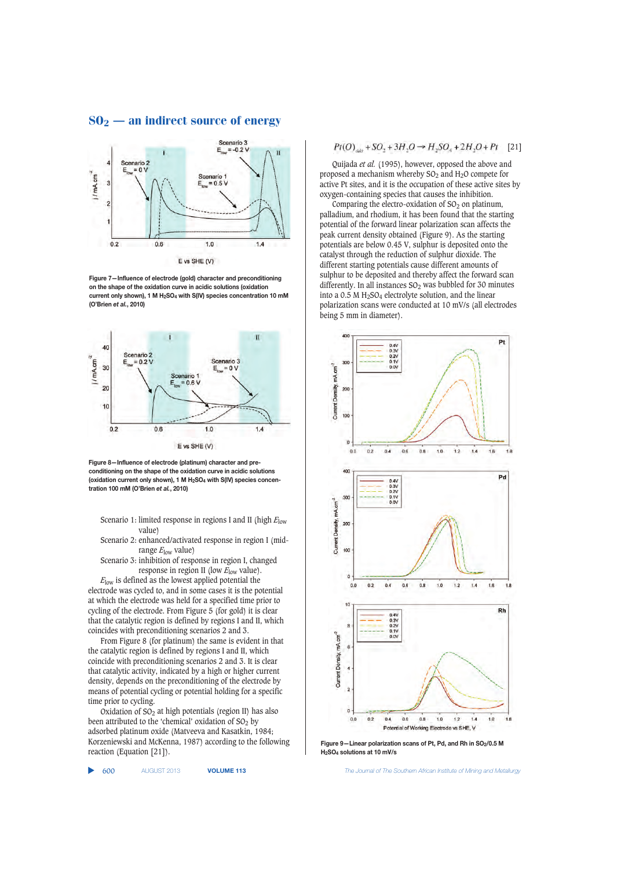

**Figure 7—Influence of electrode (gold) character and preconditioning on the shape of the oxidation curve in acidic solutions (oxidation current only shown), 1 M H2SO4 with S(IV) species concentration 10 mM (O'Brien** *et al.***, 2010)**



**Figure 8—Influence of electrode (platinum) character and preconditioning on the shape of the oxidation curve in acidic solutions (oxidation current only shown), 1 M H2SO4 with S(IV) species concentration 100 mM (O'Brien** *et al.***, 2010)**

Scenario 1: limited response in regions I and II (high *E*low value)

- Scenario 2: enhanced/activated response in region I (midrange *E*low value)
- Scenario 3: inhibition of response in region I, changed response in region II (low *E*low value).

*E*low is defined as the lowest applied potential the electrode was cycled to, and in some cases it is the potential at which the electrode was held for a specified time prior to cycling of the electrode. From Figure 5 (for gold) it is clear that the catalytic region is defined by regions I and II, which coincides with preconditioning scenarios 2 and 3.

From Figure 8 (for platinum) the same is evident in that the catalytic region is defined by regions I and II, which coincide with preconditioning scenarios 2 and 3. It is clear that catalytic activity, indicated by a high or higher current density, depends on the preconditioning of the electrode by means of potential cycling or potential holding for a specific time prior to cycling.

Oxidation of  $SO<sub>2</sub>$  at high potentials (region II) has also been attributed to the 'chemical' oxidation of  $SO<sub>2</sub>$  by adsorbed platinum oxide (Matveeva and Kasatkin, 1984; Korzeniewski and McKenna, 1987) according to the following reaction (Equation [21]).

▲

$$
Pt(O)_{ads} + SO_2 + 3H_2O \rightarrow H_2SO_4 + 2H_2O + Pt \quad [21]
$$

Quijada *et al.* (1995), however, opposed the above and proposed a mechanism whereby  $SO_2$  and  $H_2O$  compete for active Pt sites, and it is the occupation of these active sites by oxygen-containing species that causes the inhibition.

Comparing the electro-oxidation of  $SO<sub>2</sub>$  on platinum, palladium, and rhodium, it has been found that the starting potential of the forward linear polarization scan affects the peak current density obtained (Figure 9). As the starting potentials are below 0.45 V, sulphur is deposited onto the catalyst through the reduction of sulphur dioxide. The different starting potentials cause different amounts of sulphur to be deposited and thereby affect the forward scan differently. In all instances  $SO_2$  was bubbled for 30 minutes into a  $0.5$  M H<sub>2</sub>SO<sub>4</sub> electrolyte solution, and the linear polarization scans were conducted at 10 mV/s (all electrodes being 5 mm in diameter).



Figure 9-Linear polarization scans of Pt, Pd, and Rh in SO<sub>2</sub>/0.5 M **H2SO4 solutions at 10 mV/s**

**8 1** *The Journal of The Southern African Institute of Mining and Metallurgy*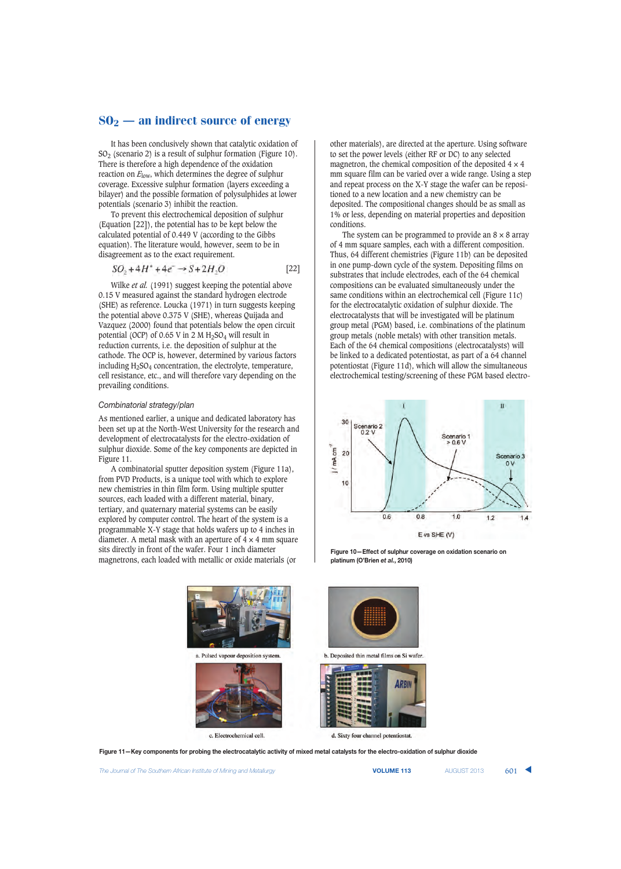It has been conclusively shown that catalytic oxidation of  $SO<sub>2</sub>$  (scenario 2) is a result of sulphur formation (Figure 10). There is therefore a high dependence of the oxidation reaction on *E*low, which determines the degree of sulphur coverage. Excessive sulphur formation (layers exceeding a bilayer) and the possible formation of polysulphides at lower potentials (scenario 3) inhibit the reaction.

To prevent this electrochemical deposition of sulphur (Equation [22]), the potential has to be kept below the calculated potential of 0.449 V (according to the Gibbs equation). The literature would, however, seem to be in disagreement as to the exact requirement.

$$
SO_2 + 4H^* + 4e^- \rightarrow S + 2H_2O \tag{22}
$$

Wilke *et al.* (1991) suggest keeping the potential above 0.15 V measured against the standard hydrogen electrode (SHE) as reference. Loucka (1971) in turn suggests keeping the potential above 0.375 V (SHE), whereas Quijada and Vazquez (2000) found that potentials below the open circuit potential (OCP) of 0.65 V in 2 M  $H_2SO_4$  will result in reduction currents, i.e. the deposition of sulphur at the cathode. The OCP is, however, determined by various factors including  $H<sub>2</sub>SO<sub>4</sub>$  concentration, the electrolyte, temperature, cell resistance, etc., and will therefore vary depending on the prevailing conditions.

### *Combinatorial strategy/plan*

As mentioned earlier, a unique and dedicated laboratory has been set up at the North-West University for the research and development of electrocatalysts for the electro-oxidation of sulphur dioxide. Some of the key components are depicted in Figure 11.

A combinatorial sputter deposition system (Figure 11a), from PVD Products, is a unique tool with which to explore new chemistries in thin film form. Using multiple sputter sources, each loaded with a different material, binary, tertiary, and quaternary material systems can be easily explored by computer control. The heart of the system is a programmable X-Y stage that holds wafers up to 4 inches in diameter. A metal mask with an aperture of  $\frac{1}{4} \times 4$  mm square sits directly in front of the wafer. Four 1 inch diameter magnetrons, each loaded with metallic or oxide materials (or

other materials), are directed at the aperture. Using software to set the power levels (either RF or DC) to any selected magnetron, the chemical composition of the deposited  $4 \times 4$ mm square film can be varied over a wide range. Using a step and repeat process on the X-Y stage the wafer can be repositioned to a new location and a new chemistry can be deposited. The compositional changes should be as small as 1% or less, depending on material properties and deposition conditions.

The system can be programmed to provide an  $8 \times 8$  array of 4 mm square samples, each with a different composition. Thus, 64 different chemistries (Figure 11b) can be deposited in one pump-down cycle of the system. Depositing films on substrates that include electrodes, each of the 64 chemical compositions can be evaluated simultaneously under the same conditions within an electrochemical cell (Figure 11c) for the electrocatalytic oxidation of sulphur dioxide. The electrocatalysts that will be investigated will be platinum group metal (PGM) based, i.e. combinations of the platinum group metals (noble metals) with other transition metals. Each of the 64 chemical compositions (electrocatalysts) will be linked to a dedicated potentiostat, as part of a 64 channel potentiostat (Figure 11d), which will allow the simultaneous electrochemical testing/screening of these PGM based electro-







**Figure 11—Key components for probing the electrocatalytic activity of mixed metal catalysts for the electro-oxidation of sulphur dioxide**

**The Journal of The Southern African Institute of Mining and Metallurgy <b>VECOUP ACT ACT ACT ACT ACT 413** AUGUST 2013 **601**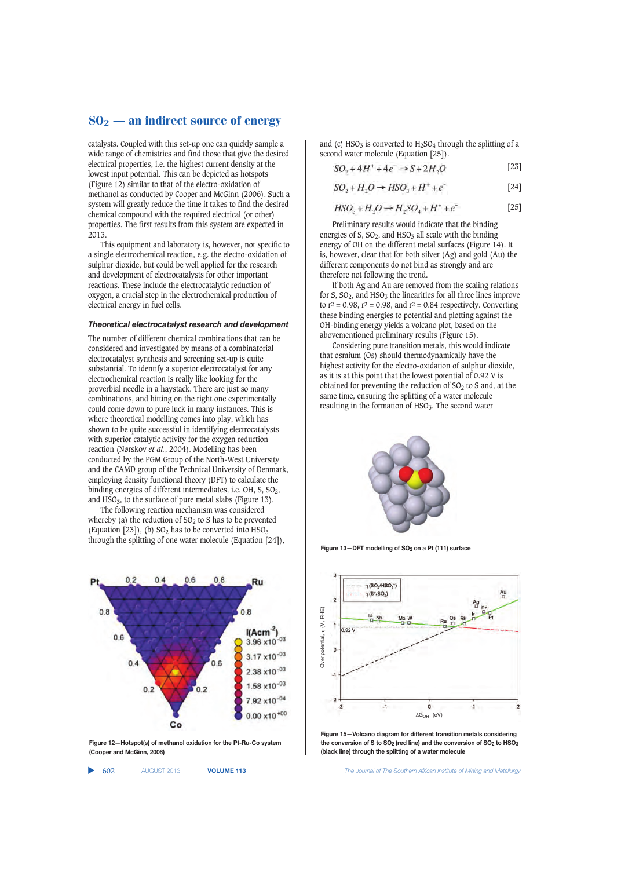catalysts. Coupled with this set-up one can quickly sample a wide range of chemistries and find those that give the desired electrical properties, i.e. the highest current density at the lowest input potential. This can be depicted as hotspots (Figure 12) similar to that of the electro-oxidation of methanol as conducted by Cooper and McGinn (2006). Such a system will greatly reduce the time it takes to find the desired chemical compound with the required electrical (or other) properties. The first results from this system are expected in 2013.

This equipment and laboratory is, however, not specific to a single electrochemical reaction, e.g. the electro-oxidation of sulphur dioxide, but could be well applied for the research and development of electrocatalysts for other important reactions. These include the electrocatalytic reduction of oxygen, a crucial step in the electrochemical production of electrical energy in fuel cells.

#### *Theoretical electrocatalyst research and development*

The number of different chemical combinations that can be considered and investigated by means of a combinatorial electrocatalyst synthesis and screening set-up is quite substantial. To identify a superior electrocatalyst for any electrochemical reaction is really like looking for the proverbial needle in a haystack. There are just so many combinations, and hitting on the right one experimentally could come down to pure luck in many instances. This is where theoretical modelling comes into play, which has shown to be quite successful in identifying electrocatalysts with superior catalytic activity for the oxygen reduction reaction (Nørskov *et al.*, 2004). Modelling has been conducted by the PGM Group of the North-West University and the CAMD group of the Technical University of Denmark, employing density functional theory (DFT) to calculate the binding energies of different intermediates, i.e.  $OH$ , S,  $SO<sub>2</sub>$ , and  $HSO<sub>3</sub>$ , to the surface of pure metal slabs (Figure 13).

The following reaction mechanism was considered whereby (a) the reduction of  $SO<sub>2</sub>$  to S has to be prevented (Equation [23]), (b)  $SO_2$  has to be converted into  $HSO_3$ through the splitting of one water molecule (Equation [24]),



**Figure 12—Hotspot(s) of methanol oxidation for the Pt-Ru-Co system (Cooper and McGinn, 2006)**

and (c)  $HSO<sub>3</sub>$  is converted to  $H<sub>2</sub>SO<sub>4</sub>$  through the splitting of a second water molecule (Equation [25]).

$$
SO_2 + 4H^+ + 4e^- \rightarrow S + 2H_2O \tag{23}
$$

$$
SO_2 + H_2O \rightarrow HSO_3 + H^+ + e^-
$$
 [24]

$$
HSO3 + H2O \rightarrow H2SO4 + H+ + e-
$$
 [25]

Preliminary results would indicate that the binding energies of S,  $SO_2$ , and  $HSO_3$  all scale with the binding energy of OH on the different metal surfaces (Figure 14). It is, however, clear that for both silver (Ag) and gold (Au) the different components do not bind as strongly and are therefore not following the trend.

If both Ag and Au are removed from the scaling relations for S,  $SO_2$ , and  $HSO_3$  the linearities for all three lines improve to  $r^2 = 0.98$ ,  $r^2 = 0.98$ , and  $r^2 = 0.84$  respectively. Converting these binding energies to potential and plotting against the OH-binding energy yields a volcano plot, based on the abovementioned preliminary results (Figure 15).

Considering pure transition metals, this would indicate that osmium (Os) should thermodynamically have the highest activity for the electro-oxidation of sulphur dioxide, as it is at this point that the lowest potential of 0.92 V is obtained for preventing the reduction of  $SO<sub>2</sub>$  to S and, at the same time, ensuring the splitting of a water molecule resulting in the formation of  $HSO<sub>3</sub>$ . The second water



**Figure 13—DFT modelling of SO2 on a Pt (111) surface**



**Figure 15—Volcano diagram for different transition metals considering the conversion of S to SO2 (red line) and the conversion of SO2 to HSO3 (black line) through the splitting of a water molecule**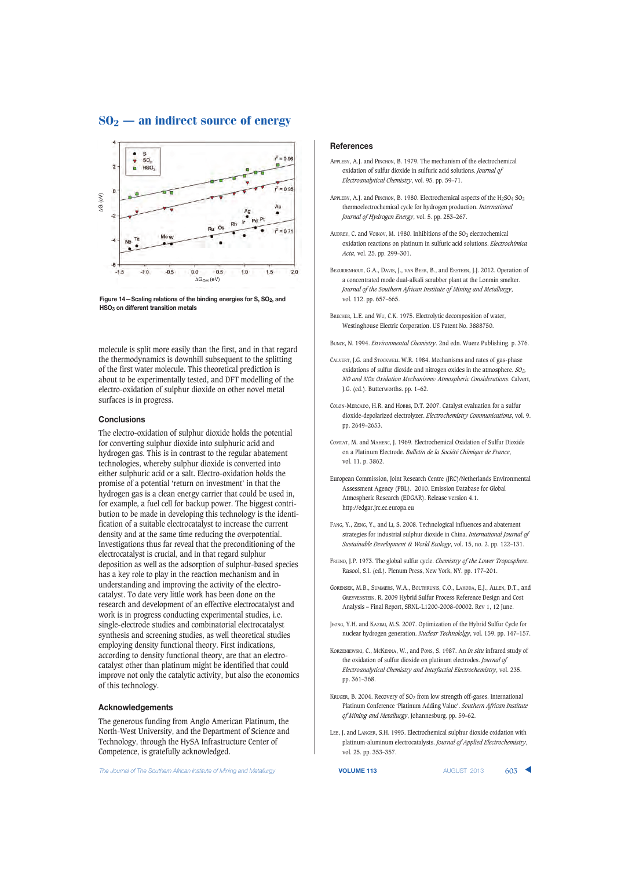

Figure 14–Scaling relations of the binding energies for S, SO<sub>2</sub>, and **HSO3 on different transition metals**

molecule is split more easily than the first, and in that regard the thermodynamics is downhill subsequent to the splitting of the first water molecule. This theoretical prediction is about to be experimentally tested, and DFT modelling of the electro-oxidation of sulphur dioxide on other novel metal surfaces is in progress.

#### **Conclusions**

The electro-oxidation of sulphur dioxide holds the potential for converting sulphur dioxide into sulphuric acid and hydrogen gas. This is in contrast to the regular abatement technologies, whereby sulphur dioxide is converted into either sulphuric acid or a salt. Electro-oxidation holds the promise of a potential 'return on investment' in that the hydrogen gas is a clean energy carrier that could be used in, for example, a fuel cell for backup power. The biggest contribution to be made in developing this technology is the identification of a suitable electrocatalyst to increase the current density and at the same time reducing the overpotential. Investigations thus far reveal that the preconditioning of the electrocatalyst is crucial, and in that regard sulphur deposition as well as the adsorption of sulphur-based species has a key role to play in the reaction mechanism and in understanding and improving the activity of the electrocatalyst. To date very little work has been done on the research and development of an effective electrocatalyst and work is in progress conducting experimental studies, i.e. single-electrode studies and combinatorial electrocatalyst synthesis and screening studies, as well theoretical studies employing density functional theory. First indications, according to density functional theory, are that an electrocatalyst other than platinum might be identified that could improve not only the catalytic activity, but also the economics of this technology.

#### **Acknowledgements**

The generous funding from Anglo American Platinum, the North-West University, and the Department of Science and Technology, through the HySA Infrastructure Center of Competence, is gratefully acknowledged.

The Journal of The Southern African Institute of Mining and Metallurgy **VOLUME 113 VOLUME 113** AUGUST 2013 **603** 

#### **References**

- APPLEBY, A.J. and PINCHON, B. 1979. The mechanism of the electrochemical oxidation of sulfur dioxide in sulfuric acid solutions. *Journal of Electroanalytical Chemistry*, vol. 95. pp. 59–71.
- APPLEBY, A.J. and PINCHON, B. 1980. Electrochemical aspects of the  $H<sub>2</sub>SO<sub>4</sub> SO<sub>2</sub>$ thermoelectrochemical cycle for hydrogen production. *International Journal of Hydrogen Energy*, vol. 5. pp. 253–267.
- AUDREY, C. and VOINOV, M. 1980. Inhibitions of the SO<sub>2</sub> electrochemical oxidation reactions on platinum in sulfuric acid solutions. *Electrochimica Acta*, vol. 25. pp. 299–301.
- BEZUIDENHOUT, G.A., DAVIS, J., VAN BEEK, B., and EKSTEEN, J.J. 2012. Operation of a concentrated mode dual-alkali scrubber plant at the Lonmin smelter. *Journal of the Southern African Institute of Mining and Metallurgy*, vol. 112. pp. 657–665.
- BRECHER, L.E. and WU, C.K. 1975. Electrolytic decomposition of water, Westinghouse Electric Corporation. US Patent No. 3888750.
- BUNCE, N. 1994. *Environmental Chemistry*. 2nd edn. Wuerz Publishing. p. 376.
- CALVERT, J.G. and STOCKWELL W.R. 1984. Mechanisms and rates of gas-phase oxidations of sulfur dioxide and nitrogen oxides in the atmosphere. *SO2, NO and NOx Oxidation Mechanisms: Atmospheric Considerations*. Calvert, J.G. (ed.). Butterworths. pp. 1–62.
- COLON-MERCADO, H.R. and HOBBS, D.T. 2007. Catalyst evaluation for a sulfur dioxide-depolarized electrolyzer. *Electrochemistry Communications*, vol. 9. pp. 2649–2653.
- COMTAT, M. and MAHENC, J. 1969. Electrochemical Oxidation of Sulfur Dioxide on a Platinum Electrode. *Bulletin de la Société Chimique de France*, vol. 11. p. 3862.
- European Commission, Joint Research Centre (JRC)/Netherlands Environmental Assessment Agency (PBL). 2010. Emission Database for Global Atmospheric Research (EDGAR). Release version 4.1. http://edgar.jrc.ec.europa.eu
- FANG, Y., ZENG, Y., and LI, S. 2008. Technological influences and abatement strategies for industrial sulphur dioxide in China. *International Journal of Sustainable Development & World Ecology*, vol. 15, no. 2. pp. 122–131.
- FRIEND, J.P. 1973. The global sulfur cycle. *Chemistry of the Lower Troposphere*. Rasool, S.I. (ed.). Plenum Press, New York, NY. pp. 177–201.
- GORENSEK, M.B., SUMMERS, W.A., BOLTHRUNIS, C.O., LAHODA, E.J., ALLEN, D.T., and GREYVENSTEIN, R. 2009 Hybrid Sulfur Process Reference Design and Cost Analysis – Final Report, SRNL-L1200-2008-00002. Rev 1, 12 June.
- JEONG, Y.H. and KAZIMI, M.S. 2007. Optimization of the Hybrid Sulfur Cycle for nuclear hydrogen generation. *Nuclear Technololgy*, vol. 159. pp. 147–157.
- KORZENIEWSKI, C., MCKENNA, W., and PONS, S. 1987. An *in situ* infrared study of the oxidation of sulfur dioxide on platinum electrodes. *Journal of Electroanalytical Chemistry and Interfactial Electrochemistry*, vol. 235. pp. 361–368.
- KRUGER, B. 2004. Recovery of  $SO_2$  from low strength off-gases. International Platinum Conference 'Platinum Adding Value'. *Southern African Institute of Mining and Metallurgy*, Johannesburg. pp. 59–62.
- LEE, J. and LANGER, S.H. 1995. Electrochemical sulphur dioxide oxidation with platinum-aluminum electrocatalysts. *Journal of Applied Electrochemistry*, vol. 25. pp. 353–357.